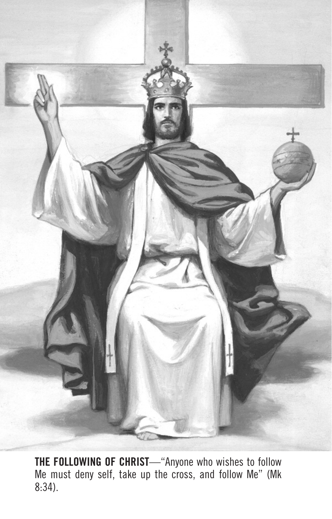

**THE FOLLOWING OF CHRIST**—"Anyone who wishes to follow Me must deny self, take up the cross, and follow Me" (Mk 8:34).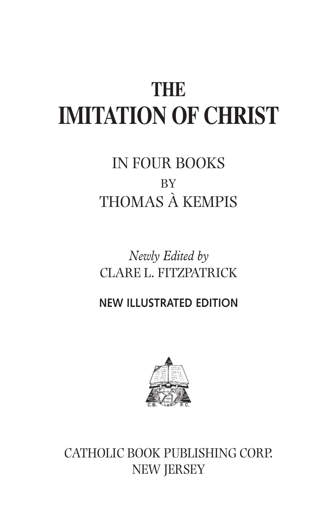# **THE IMITATION OF CHRIST**

## IN FOUR BOOKS BY THOMAS À KEMPIS

*Newly Edited by* CLARE L. FITZPATRICK

**NEW ILLUSTRATED EDITION**



CATHOLIC BOOK PUBLISHING CORP. NEW JERSEY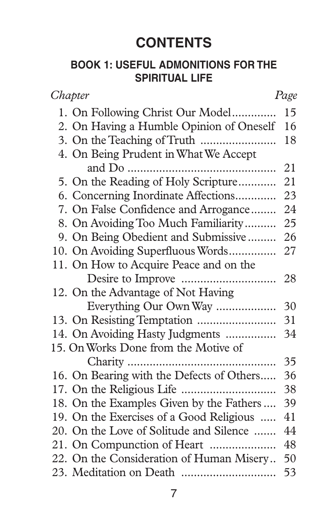### **CONTENTS**

#### **BOOK 1: USEFUL ADMONITIONS FOR THE SPIRITUAL LIFE**

| Chapter                                   | Page |
|-------------------------------------------|------|
| 1. On Following Christ Our Model          | 15   |
| 2. On Having a Humble Opinion of Oneself  | 16   |
|                                           | 18   |
| 4. On Being Prudent in What We Accept     |      |
|                                           | 21   |
| 5. On the Reading of Holy Scripture       | 21   |
| 6. Concerning Inordinate Affections       | 23   |
| 7. On False Confidence and Arrogance      | 24   |
| 8. On Avoiding Too Much Familiarity       | 25   |
| 9. On Being Obedient and Submissive       | 26   |
| 10. On Avoiding Superfluous Words         | 27   |
| 11. On How to Acquire Peace and on the    |      |
|                                           | 28   |
| 12. On the Advantage of Not Having        |      |
| Everything Our Own Way                    | 30   |
|                                           | 31   |
| 14. On Avoiding Hasty Judgments           | 34   |
| 15. On Works Done from the Motive of      |      |
|                                           | 35   |
| 16. On Bearing with the Defects of Others | 36   |
|                                           | 38   |
| 18. On the Examples Given by the Fathers  | 39   |
| 19. On the Exercises of a Good Religious  | 41   |
| 20. On the Love of Solitude and Silence   | 44   |
| 21. On Compunction of Heart               | 48   |
| 22. On the Consideration of Human Misery  | 50   |
|                                           | 53   |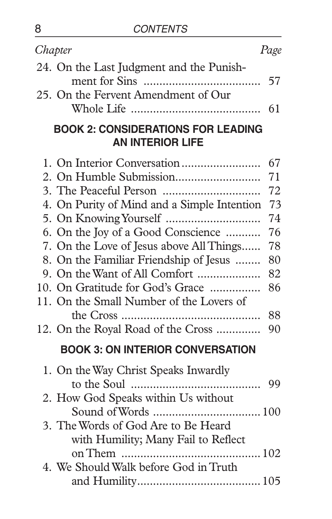| Chapter                                                                                                                                                                                                                                                                                                                        | Page                                                                 |
|--------------------------------------------------------------------------------------------------------------------------------------------------------------------------------------------------------------------------------------------------------------------------------------------------------------------------------|----------------------------------------------------------------------|
| 24. On the Last Judgment and the Punish-                                                                                                                                                                                                                                                                                       | 57                                                                   |
| 25. On the Fervent Amendment of Our                                                                                                                                                                                                                                                                                            |                                                                      |
| <b>BOOK 2: CONSIDERATIONS FOR LEADING</b><br><b>AN INTERIOR LIFE</b>                                                                                                                                                                                                                                                           |                                                                      |
| 4. On Purity of Mind and a Simple Intention<br>6. On the Joy of a Good Conscience<br>7. On the Love of Jesus above All Things<br>8. On the Familiar Friendship of Jesus<br>9. On the Want of All Comfort<br>10. On Gratitude for God's Grace<br>11. On the Small Number of the Lovers of<br>12. On the Royal Road of the Cross | 67<br>71<br>72<br>73<br>74<br>76<br>78<br>80<br>82<br>86<br>88<br>90 |
| <b>BOOK 3: ON INTERIOR CONVERSATION</b>                                                                                                                                                                                                                                                                                        |                                                                      |
| 1. On the Way Christ Speaks Inwardly                                                                                                                                                                                                                                                                                           | 99                                                                   |
| 2. How God Speaks within Us without                                                                                                                                                                                                                                                                                            |                                                                      |
| 3. The Words of God Are to Be Heard<br>with Humility; Many Fail to Reflect                                                                                                                                                                                                                                                     | 102                                                                  |
| 4. We Should Walk before God in Truth                                                                                                                                                                                                                                                                                          |                                                                      |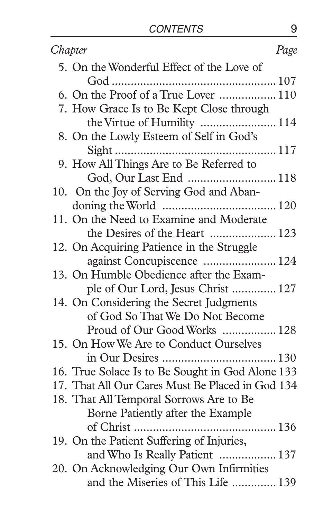| Chapter                                          | Page |
|--------------------------------------------------|------|
| 5. On the Wonderful Effect of the Love of        |      |
|                                                  |      |
| 6. On the Proof of a True Lover  110             |      |
| 7. How Grace Is to Be Kept Close through         |      |
|                                                  |      |
| 8. On the Lowly Esteem of Self in God's          |      |
|                                                  |      |
| 9. How All Things Are to Be Referred to          |      |
| God, Our Last End  118                           |      |
| 10. On the Joy of Serving God and Aban-          |      |
|                                                  |      |
| 11. On the Need to Examine and Moderate          |      |
| the Desires of the Heart  123                    |      |
| 12. On Acquiring Patience in the Struggle        |      |
| against Concupiscence  124                       |      |
| 13. On Humble Obedience after the Exam-          |      |
| ple of Our Lord, Jesus Christ  127               |      |
| 14. On Considering the Secret Judgments          |      |
| of God So That We Do Not Become                  |      |
| Proud of Our Good Works  128                     |      |
| 15. On How We Are to Conduct Ourselves           |      |
|                                                  |      |
| 16. True Solace Is to Be Sought in God Alone 133 |      |
| 17. That All Our Cares Must Be Placed in God 134 |      |
| 18. That All Temporal Sorrows Are to Be          |      |
| Borne Patiently after the Example                |      |
|                                                  |      |
| 19. On the Patient Suffering of Injuries,        |      |
| and Who Is Really Patient  137                   |      |
| 20. On Acknowledging Our Own Infirmities         |      |
| and the Miseries of This Life  139               |      |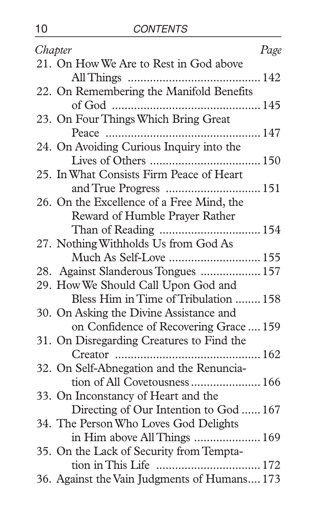| Chapter                                      | Page |
|----------------------------------------------|------|
| 21. On How We Are to Rest in God above       |      |
|                                              |      |
| 22. On Remembering the Manifold Benefits     |      |
|                                              |      |
| 23. On Four Things Which Bring Great         |      |
|                                              |      |
| 24. On Avoiding Curious Inquiry into the     |      |
|                                              |      |
| 25. In What Consists Firm Peace of Heart     |      |
|                                              |      |
| 26. On the Excellence of a Free Mind, the    |      |
| Reward of Humble Prayer Rather               |      |
|                                              |      |
| 27. Nothing Withholds Us from God As         |      |
| Much As Self-Love  155                       |      |
| 28. Against Slanderous Tongues  157          |      |
| 29. How We Should Call Upon God and          |      |
| Bless Him in Time of Tribulation  158        |      |
| 30. On Asking the Divine Assistance and      |      |
| on Confidence of Recovering Grace  159       |      |
| 31. On Disregarding Creatures to Find the    |      |
|                                              |      |
| 32. On Self-Abnegation and the Renuncia-     |      |
| tion of All Covetousness  166                |      |
| 33. On Inconstancy of Heart and the          |      |
| Directing of Our Intention to God  167       |      |
| 34. The Person Who Loves God Delights        |      |
| in Him above All Things  169                 |      |
| 35. On the Lack of Security from Tempta-     |      |
|                                              |      |
| 36. Against the Vain Judgments of Humans 173 |      |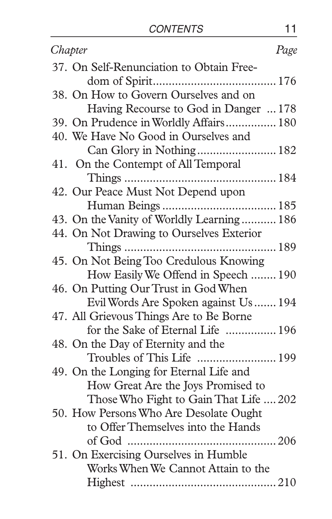| Chapter                                   | Page |
|-------------------------------------------|------|
| 37. On Self-Renunciation to Obtain Free-  |      |
|                                           |      |
| 38. On How to Govern Ourselves and on     |      |
| Having Recourse to God in Danger  178     |      |
| 39. On Prudence in Worldly Affairs 180    |      |
| 40. We Have No Good in Ourselves and      |      |
| Can Glory in Nothing 182                  |      |
| 41. On the Contempt of All Temporal       |      |
|                                           |      |
| 42. Our Peace Must Not Depend upon        |      |
|                                           |      |
| 43. On the Vanity of Worldly Learning 186 |      |
| 44. On Not Drawing to Ourselves Exterior  |      |
|                                           |      |
| 45. On Not Being Too Credulous Knowing    |      |
| How Easily We Offend in Speech  190       |      |
| 46. On Putting Our Trust in God When      |      |
| Evil Words Are Spoken against Us  194     |      |
| 47. All Grievous Things Are to Be Borne   |      |
| for the Sake of Eternal Life  196         |      |
| 48. On the Day of Eternity and the        |      |
| Troubles of This Life  199                |      |
| 49. On the Longing for Eternal Life and   |      |
| How Great Are the Joys Promised to        |      |
| Those Who Fight to Gain That Life  202    |      |
| 50. How Persons Who Are Desolate Ought    |      |
| to Offer Themselves into the Hands        |      |
| of God<br>.                               | 206  |
| 51. On Exercising Ourselves in Humble     |      |
| Works When We Cannot Attain to the        |      |
|                                           |      |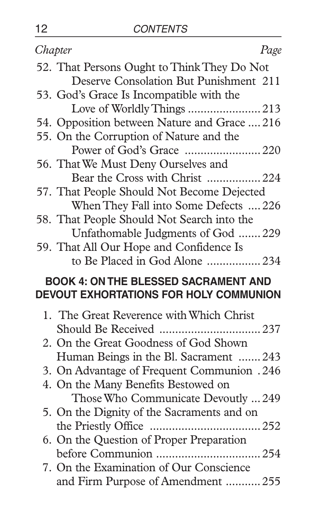| Chapter                                                                       | Page |
|-------------------------------------------------------------------------------|------|
| 52. That Persons Ought to Think They Do Not                                   |      |
| Deserve Consolation But Punishment 211                                        |      |
| 53. God's Grace Is Incompatible with the                                      |      |
| Love of Worldly Things  213                                                   |      |
| 54. Opposition between Nature and Grace  216                                  |      |
| 55. On the Corruption of Nature and the                                       |      |
| Power of God's Grace 220                                                      |      |
| 56. That We Must Deny Ourselves and                                           |      |
| Bear the Cross with Christ  224                                               |      |
| 57. That People Should Not Become Dejected                                    |      |
| When They Fall into Some Defects  226                                         |      |
| 58. That People Should Not Search into the                                    |      |
| Unfathomable Judgments of God  229                                            |      |
| 59. That All Our Hope and Confidence Is                                       |      |
| to Be Placed in God Alone 234                                                 |      |
| <b>BOOK 4: ON THE BLESSED SACRAMENT AND</b>                                   |      |
| DEVOUT EXHORTATIONS FOR HOLY COMMUNION                                        |      |
|                                                                               |      |
|                                                                               |      |
| 1. The Great Reverence with Which Christ                                      |      |
|                                                                               |      |
| 2. On the Great Goodness of God Shown                                         |      |
| Human Beings in the Bl. Sacrament  243                                        |      |
| 3. On Advantage of Frequent Communion .246                                    |      |
| 4. On the Many Benefits Bestowed on                                           |      |
| Those Who Communicate Devoutly  249                                           |      |
| 5. On the Dignity of the Sacraments and on                                    |      |
|                                                                               |      |
| 6. On the Question of Proper Preparation                                      |      |
|                                                                               |      |
| 7. On the Examination of Our Conscience<br>and Firm Purpose of Amendment  255 |      |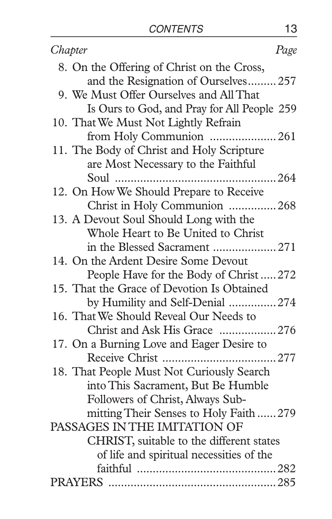| Chapter                                     | Page |
|---------------------------------------------|------|
| 8. On the Offering of Christ on the Cross,  |      |
| and the Resignation of Ourselves 257        |      |
| 9. We Must Offer Ourselves and All That     |      |
| Is Ours to God, and Pray for All People 259 |      |
| 10. That We Must Not Lightly Refrain        |      |
| from Holy Communion 261                     |      |
| 11. The Body of Christ and Holy Scripture   |      |
| are Most Necessary to the Faithful          |      |
|                                             |      |
| 12. On How We Should Prepare to Receive     |      |
| Christ in Holy Communion 268                |      |
| 13. A Devout Soul Should Long with the      |      |
| Whole Heart to Be United to Christ          |      |
| in the Blessed Sacrament  271               |      |
| 14. On the Ardent Desire Some Devout        |      |
| People Have for the Body of Christ272       |      |
| 15. That the Grace of Devotion Is Obtained  |      |
| by Humility and Self-Denial 274             |      |
| 16. That We Should Reveal Our Needs to      |      |
| Christ and Ask His Grace 276                |      |
| 17. On a Burning Love and Eager Desire to   |      |
|                                             |      |
| 18. That People Must Not Curiously Search   |      |
| into This Sacrament, But Be Humble          |      |
| Followers of Christ, Always Sub-            |      |
| mitting Their Senses to Holy Faith  279     |      |
| PASSAGES IN THE IMITATION OF                |      |
| CHRIST, suitable to the different states    |      |
| of life and spiritual necessities of the    |      |
|                                             |      |
|                                             |      |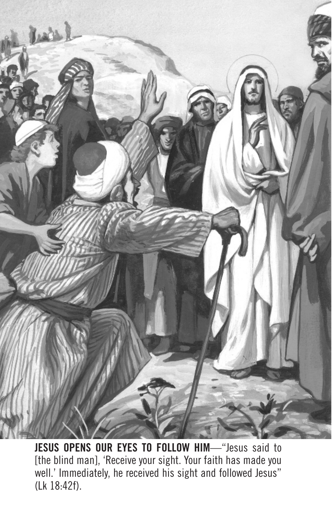

**JESUS OPENS OUR EYES TO FOLLOW HIM**—"Jesus said to [the blind man], 'Receive your sight. Your faith has made you well.' Immediately, he received his sight and followed Jesus" (Lk 18:42f).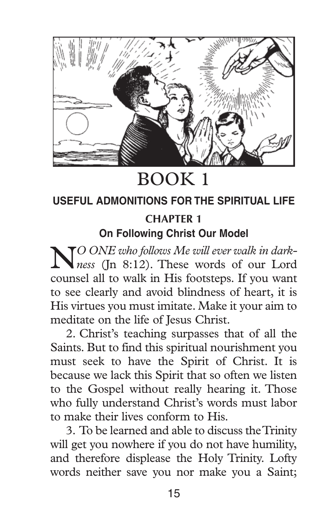

### BOOK 1

#### **USEFUL ADMONITIONS FOR THE SPIRITUAL LIFE CHAPTER 1 On Following Christ Our Model**

N*<sup>O</sup> ONE who follows Me will ever walk in dark-ness* (Jn 8:12). These words of our Lord counsel all to walk in His footsteps. If you want to see clearly and avoid blindness of heart, it is His virtues you must imitate. Make it your aim to meditate on the life of Jesus Christ.

2. Christ's teaching surpasses that of all the Saints. But to find this spiritual nourishment you must seek to have the Spirit of Christ. It is because we lack this Spirit that so often we listen to the Gospel without really hearing it. Those who fully understand Christ's words must labor to make their lives conform to His.

3. To be learned and able to discuss the Trinity will get you nowhere if you do not have humility, and therefore displease the Holy Trinity. Lofty words neither save you nor make you a Saint;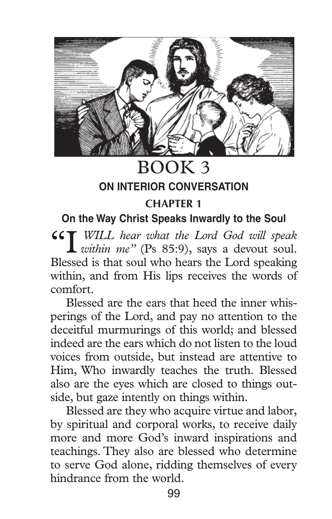

BOOK 3

#### **ON INTERIOR CONVERSATION**

#### **CHAPTER 1**

#### **On the Way Christ Speaks Inwardly to the Soul**

"I *WILL hear what the Lord God will speak within me"* (Ps 85:9), says a devout soul. Blessed is that soul who hears the Lord speaking within, and from His lips receives the words of comfort.

Blessed are the ears that heed the inner whisperings of the Lord, and pay no attention to the deceitful murmurings of this world; and blessed indeed are the ears which do not listen to the loud voices from outside, but instead are attentive to Him, Who inwardly teaches the truth. Blessed also are the eyes which are closed to things outside, but gaze intently on things within.

Blessed are they who acquire virtue and labor, by spiritual and corporal works, to receive daily more and more God's inward inspirations and teachings. They also are blessed who determine to serve God alone, ridding themselves of every hindrance from the world.